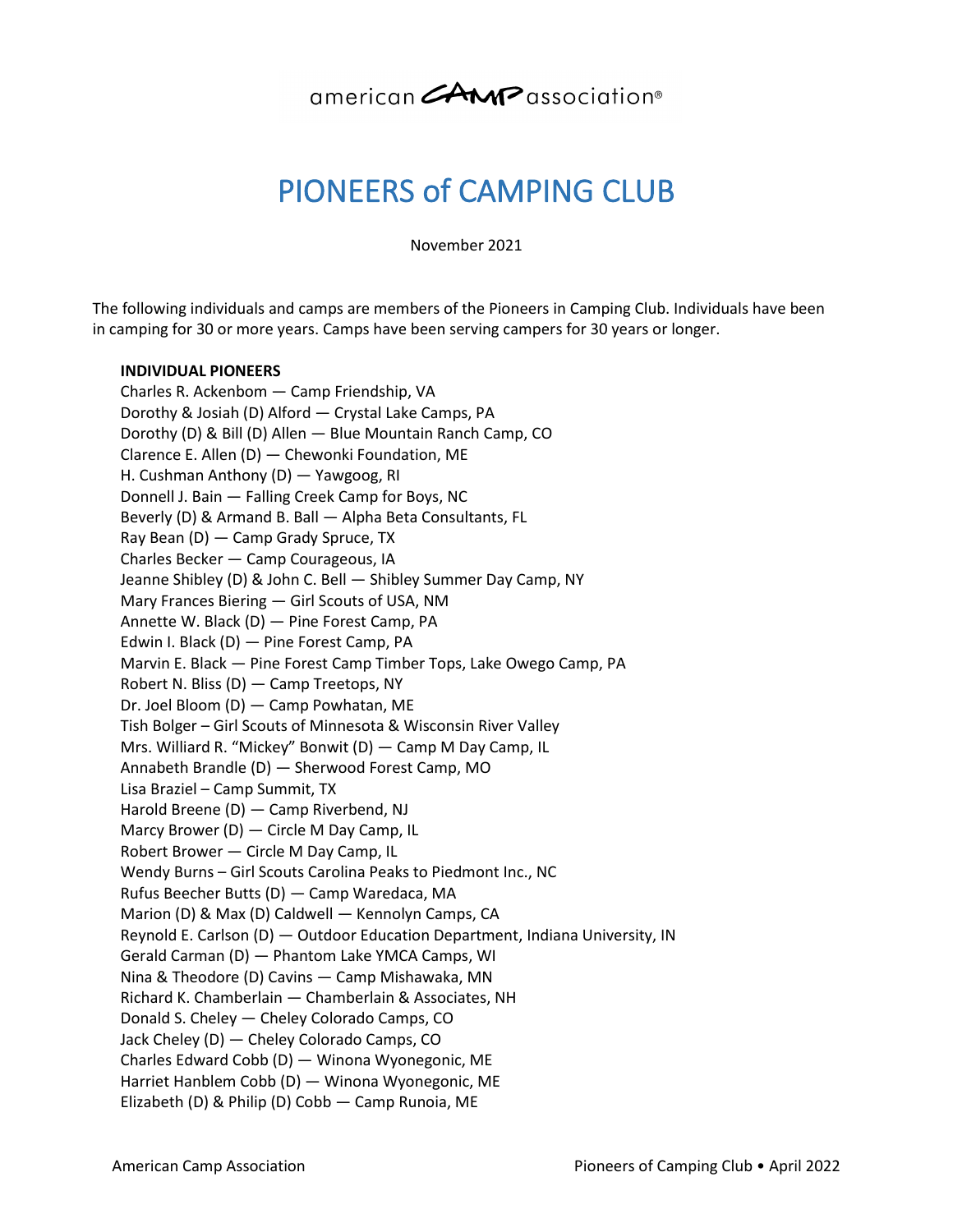## american  $\mathbb{Z}$  AMP association<sup>®</sup>

## PIONEERS of CAMPING CLUB

November 2021

The following individuals and camps are members of the Pioneers in Camping Club. Individuals have been in camping for 30 or more years. Camps have been serving campers for 30 years or longer.

## **INDIVIDUAL PIONEERS**

Charles R. Ackenbom — Camp Friendship, VA Dorothy & Josiah (D) Alford — Crystal Lake Camps, PA Dorothy (D) & Bill (D) Allen — Blue Mountain Ranch Camp, CO Clarence E. Allen (D) — Chewonki Foundation, ME H. Cushman Anthony (D) — Yawgoog, RI Donnell J. Bain — Falling Creek Camp for Boys, NC Beverly (D) & Armand B. Ball — Alpha Beta Consultants, FL Ray Bean (D) — Camp Grady Spruce, TX Charles Becker — Camp Courageous, IA Jeanne Shibley (D) & John C. Bell — Shibley Summer Day Camp, NY Mary Frances Biering — Girl Scouts of USA, NM Annette W. Black (D) — Pine Forest Camp, PA Edwin I. Black (D) — Pine Forest Camp, PA Marvin E. Black — Pine Forest Camp Timber Tops, Lake Owego Camp, PA Robert N. Bliss (D) — Camp Treetops, NY Dr. Joel Bloom (D) — Camp Powhatan, ME Tish Bolger – Girl Scouts of Minnesota & Wisconsin River Valley Mrs. Williard R. "Mickey" Bonwit (D) — Camp M Day Camp, IL Annabeth Brandle (D) — Sherwood Forest Camp, MO Lisa Braziel – Camp Summit, TX Harold Breene (D) — Camp Riverbend, NJ Marcy Brower (D) — Circle M Day Camp, IL Robert Brower — Circle M Day Camp, IL Wendy Burns – Girl Scouts Carolina Peaks to Piedmont Inc., NC Rufus Beecher Butts (D) — Camp Waredaca, MA Marion (D) & Max (D) Caldwell — Kennolyn Camps, CA Reynold E. Carlson (D) — Outdoor Education Department, Indiana University, IN Gerald Carman (D) — Phantom Lake YMCA Camps, WI Nina & Theodore (D) Cavins — Camp Mishawaka, MN Richard K. Chamberlain — Chamberlain & Associates, NH Donald S. Cheley — Cheley Colorado Camps, CO Jack Cheley (D) — Cheley Colorado Camps, CO Charles Edward Cobb (D) — Winona Wyonegonic, ME Harriet Hanblem Cobb (D) — Winona Wyonegonic, ME Elizabeth (D) & Philip (D) Cobb — Camp Runoia, ME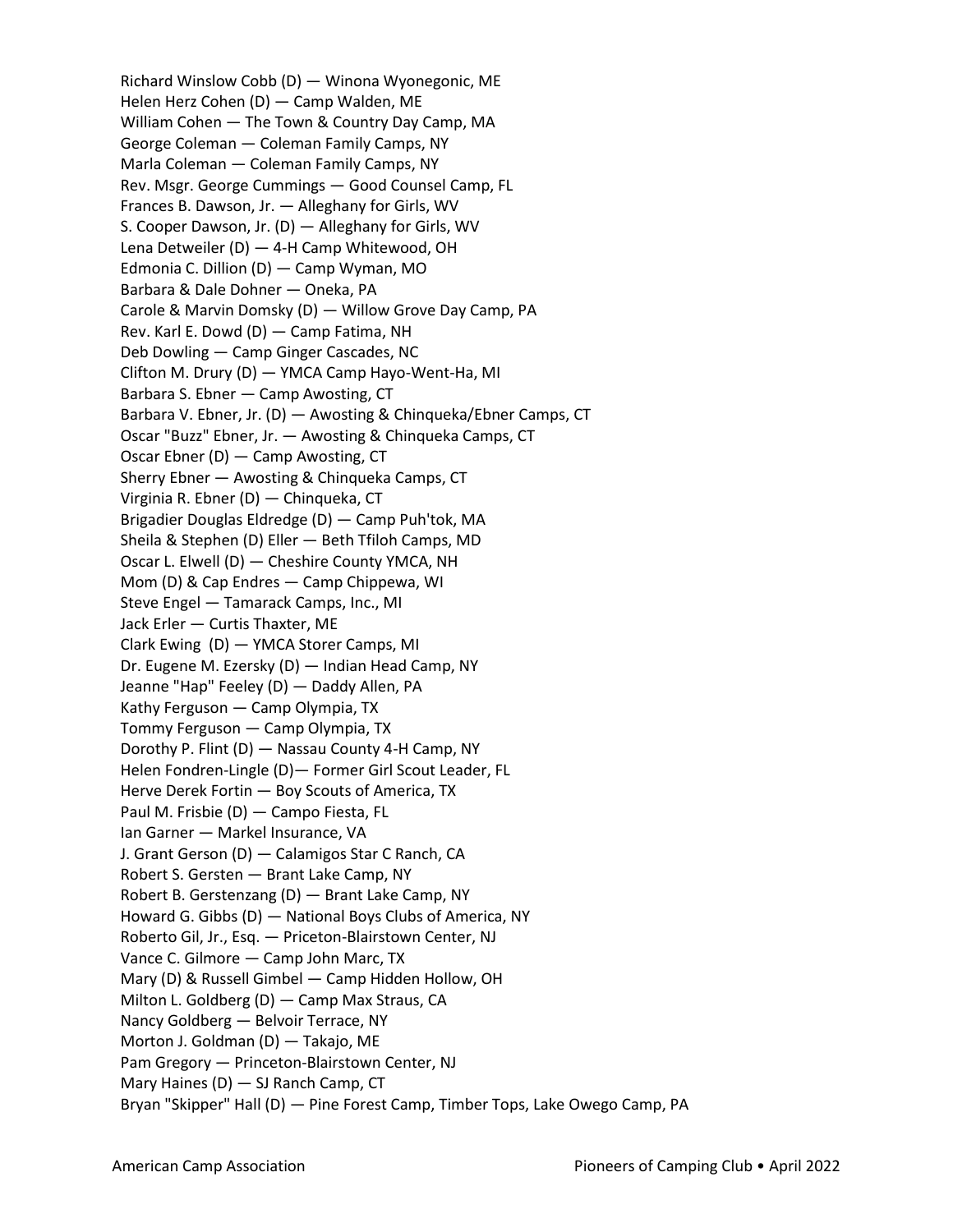Richard Winslow Cobb (D) — Winona Wyonegonic, ME Helen Herz Cohen (D) — Camp Walden, ME William Cohen — The Town & Country Day Camp, MA George Coleman — Coleman Family Camps, NY Marla Coleman — Coleman Family Camps, NY Rev. Msgr. George Cummings — Good Counsel Camp, FL Frances B. Dawson, Jr. — Alleghany for Girls, WV S. Cooper Dawson, Jr. (D) — Alleghany for Girls, WV Lena Detweiler (D) — 4-H Camp Whitewood, OH Edmonia C. Dillion (D) — Camp Wyman, MO Barbara & Dale Dohner — Oneka, PA Carole & Marvin Domsky (D) — Willow Grove Day Camp, PA Rev. Karl E. Dowd (D) — Camp Fatima, NH Deb Dowling — Camp Ginger Cascades, NC Clifton M. Drury (D) — YMCA Camp Hayo-Went-Ha, MI Barbara S. Ebner — Camp Awosting, CT Barbara V. Ebner, Jr. (D) — Awosting & Chinqueka/Ebner Camps, CT Oscar "Buzz" Ebner, Jr. — Awosting & Chinqueka Camps, CT Oscar Ebner (D) — Camp Awosting, CT Sherry Ebner — Awosting & Chinqueka Camps, CT Virginia R. Ebner (D) — Chinqueka, CT Brigadier Douglas Eldredge (D) — Camp Puh'tok, MA Sheila & Stephen (D) Eller — Beth Tfiloh Camps, MD Oscar L. Elwell (D) — Cheshire County YMCA, NH Mom (D) & Cap Endres — Camp Chippewa, WI Steve Engel — Tamarack Camps, Inc., MI Jack Erler — Curtis Thaxter, ME Clark Ewing (D) — YMCA Storer Camps, MI Dr. Eugene M. Ezersky (D) — Indian Head Camp, NY Jeanne "Hap" Feeley (D) — Daddy Allen, PA Kathy Ferguson — Camp Olympia, TX Tommy Ferguson — Camp Olympia, TX Dorothy P. Flint (D) — Nassau County 4-H Camp, NY Helen Fondren-Lingle (D)— Former Girl Scout Leader, FL Herve Derek Fortin — Boy Scouts of America, TX Paul M. Frisbie (D) — Campo Fiesta, FL Ian Garner — Markel Insurance, VA J. Grant Gerson (D) — Calamigos Star C Ranch, CA Robert S. Gersten — Brant Lake Camp, NY Robert B. Gerstenzang (D) — Brant Lake Camp, NY Howard G. Gibbs (D) — National Boys Clubs of America, NY Roberto Gil, Jr., Esq. — Priceton-Blairstown Center, NJ Vance C. Gilmore — Camp John Marc, TX Mary (D) & Russell Gimbel — Camp Hidden Hollow, OH Milton L. Goldberg (D) — Camp Max Straus, CA Nancy Goldberg — Belvoir Terrace, NY Morton J. Goldman (D) — Takajo, ME Pam Gregory — Princeton-Blairstown Center, NJ Mary Haines (D) — SJ Ranch Camp, CT Bryan "Skipper" Hall (D) — Pine Forest Camp, Timber Tops, Lake Owego Camp, PA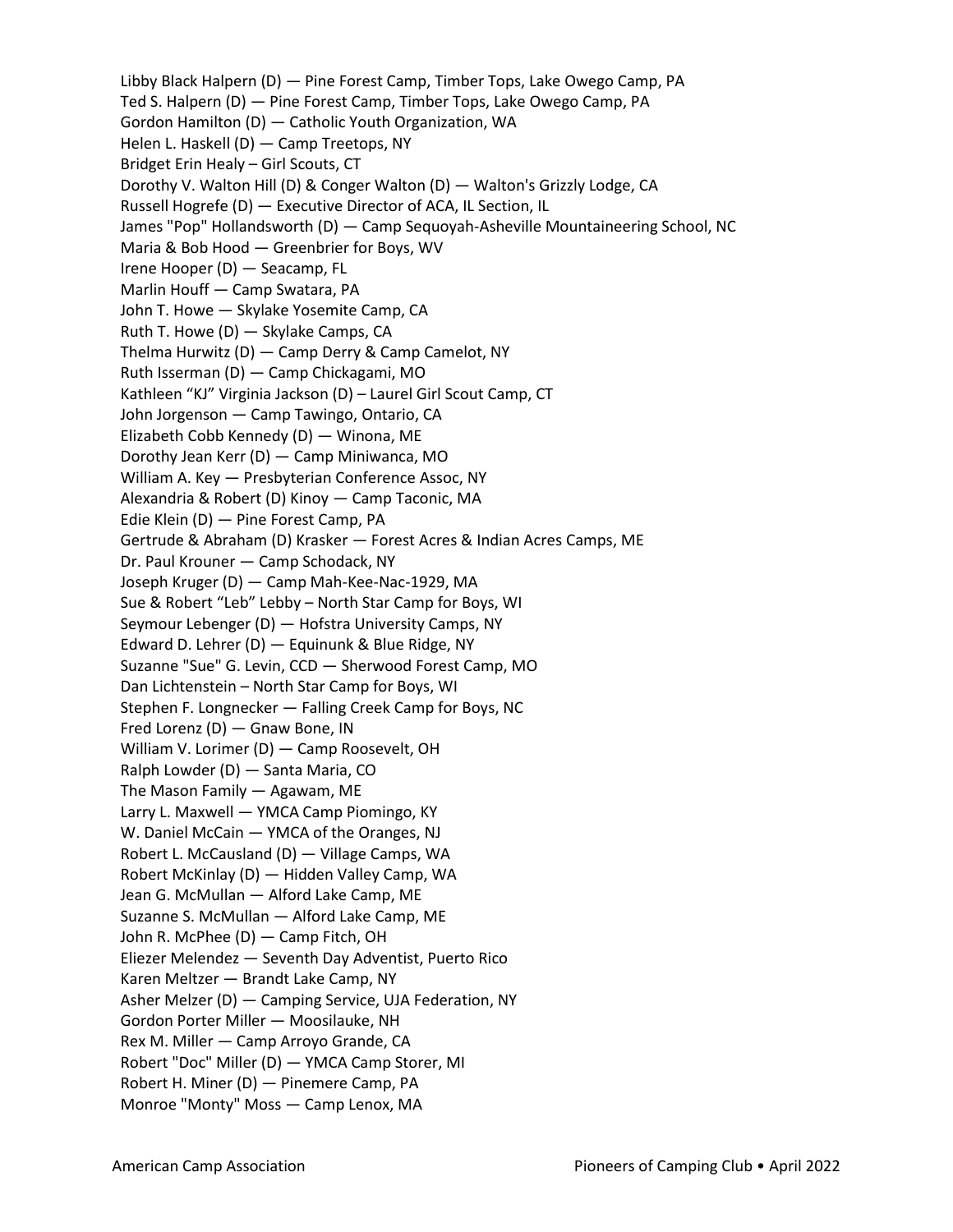Libby Black Halpern (D) — Pine Forest Camp, Timber Tops, Lake Owego Camp, PA Ted S. Halpern (D) — Pine Forest Camp, Timber Tops, Lake Owego Camp, PA Gordon Hamilton (D) — Catholic Youth Organization, WA Helen L. Haskell (D) — Camp Treetops, NY Bridget Erin Healy – Girl Scouts, CT Dorothy V. Walton Hill (D) & Conger Walton (D) — Walton's Grizzly Lodge, CA Russell Hogrefe (D) — Executive Director of ACA, IL Section, IL James "Pop" Hollandsworth (D) — Camp Sequoyah-Asheville Mountaineering School, NC Maria & Bob Hood — Greenbrier for Boys, WV Irene Hooper (D) — Seacamp, FL Marlin Houff — Camp Swatara, PA John T. Howe — Skylake Yosemite Camp, CA Ruth T. Howe (D) — Skylake Camps, CA Thelma Hurwitz (D) — Camp Derry & Camp Camelot, NY Ruth Isserman (D) — Camp Chickagami, MO Kathleen "KJ" Virginia Jackson (D) – Laurel Girl Scout Camp, CT John Jorgenson — Camp Tawingo, Ontario, CA Elizabeth Cobb Kennedy (D) — Winona, ME Dorothy Jean Kerr (D) — Camp Miniwanca, MO William A. Key — Presbyterian Conference Assoc, NY Alexandria & Robert (D) Kinoy — Camp Taconic, MA Edie Klein (D) — Pine Forest Camp, PA Gertrude & Abraham (D) Krasker — Forest Acres & Indian Acres Camps, ME Dr. Paul Krouner — Camp Schodack, NY Joseph Kruger (D) — Camp Mah-Kee-Nac-1929, MA Sue & Robert "Leb" Lebby – North Star Camp for Boys, WI Seymour Lebenger (D) — Hofstra University Camps, NY Edward D. Lehrer (D) — Equinunk & Blue Ridge, NY Suzanne "Sue" G. Levin, CCD — Sherwood Forest Camp, MO Dan Lichtenstein – North Star Camp for Boys, WI Stephen F. Longnecker — Falling Creek Camp for Boys, NC Fred Lorenz (D) — Gnaw Bone, IN William V. Lorimer (D) — Camp Roosevelt, OH Ralph Lowder (D) — Santa Maria, CO The Mason Family — Agawam, ME Larry L. Maxwell — YMCA Camp Piomingo, KY W. Daniel McCain — YMCA of the Oranges, NJ Robert L. McCausland (D) — Village Camps, WA Robert McKinlay (D) — Hidden Valley Camp, WA Jean G. McMullan — Alford Lake Camp, ME Suzanne S. McMullan — Alford Lake Camp, ME John R. McPhee (D) — Camp Fitch, OH Eliezer Melendez — Seventh Day Adventist, Puerto Rico Karen Meltzer — Brandt Lake Camp, NY Asher Melzer (D) — Camping Service, UJA Federation, NY Gordon Porter Miller — Moosilauke, NH Rex M. Miller — Camp Arroyo Grande, CA Robert "Doc" Miller (D) — YMCA Camp Storer, MI Robert H. Miner (D) — Pinemere Camp, PA Monroe "Monty" Moss — Camp Lenox, MA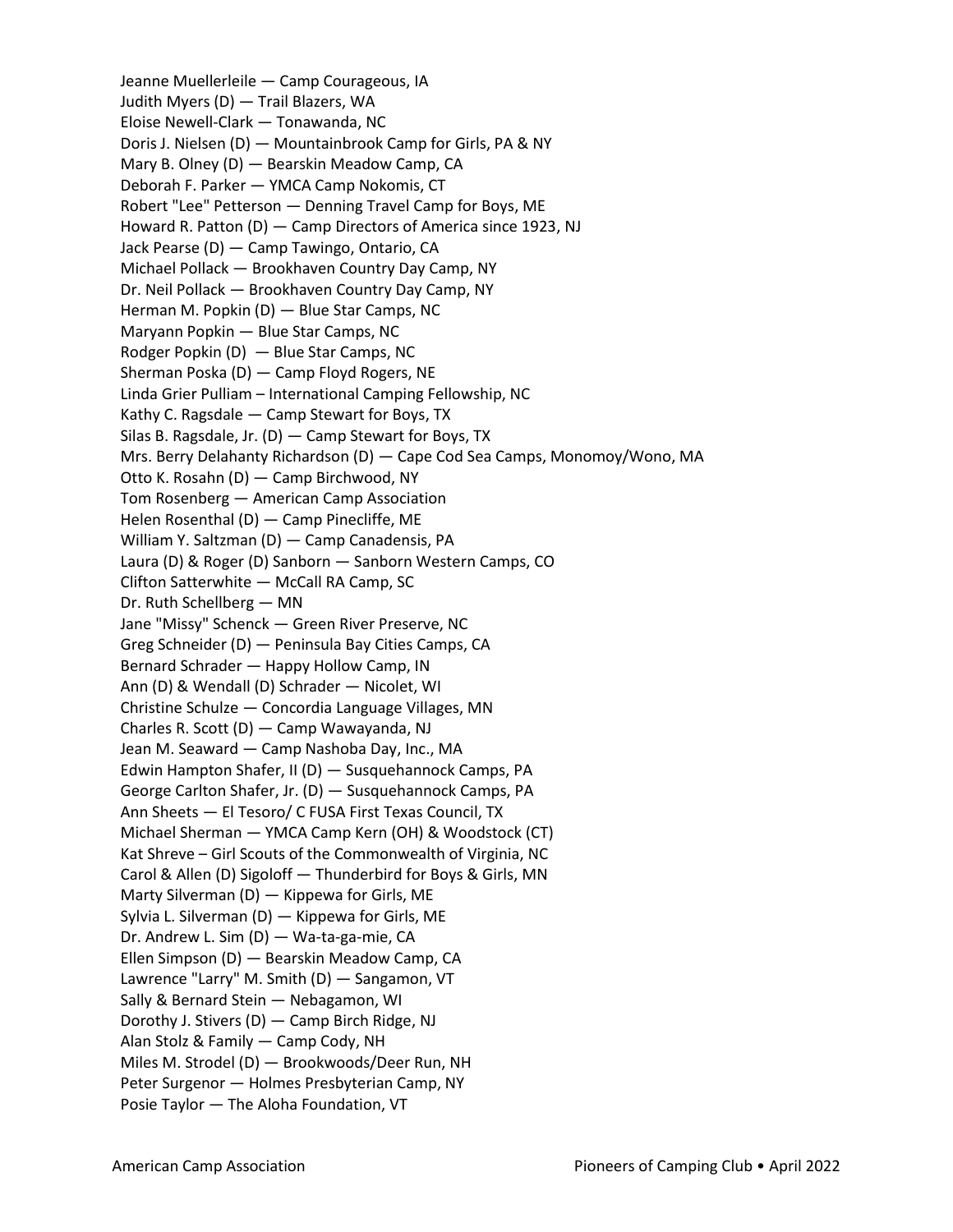Jeanne Muellerleile — Camp Courageous, IA Judith Myers (D) — Trail Blazers, WA Eloise Newell-Clark — Tonawanda, NC Doris J. Nielsen (D) — Mountainbrook Camp for Girls, PA & NY Mary B. Olney (D) — Bearskin Meadow Camp, CA Deborah F. Parker — YMCA Camp Nokomis, CT Robert "Lee" Petterson — Denning Travel Camp for Boys, ME Howard R. Patton (D) — Camp Directors of America since 1923, NJ Jack Pearse (D) — Camp Tawingo, Ontario, CA Michael Pollack — Brookhaven Country Day Camp, NY Dr. Neil Pollack — Brookhaven Country Day Camp, NY Herman M. Popkin (D) — Blue Star Camps, NC Maryann Popkin — Blue Star Camps, NC Rodger Popkin (D) — Blue Star Camps, NC Sherman Poska (D) — Camp Floyd Rogers, NE Linda Grier Pulliam – International Camping Fellowship, NC Kathy C. Ragsdale — Camp Stewart for Boys, TX Silas B. Ragsdale, Jr. (D) — Camp Stewart for Boys, TX Mrs. Berry Delahanty Richardson (D) — Cape Cod Sea Camps, Monomoy/Wono, MA Otto K. Rosahn (D) — Camp Birchwood, NY Tom Rosenberg — American Camp Association Helen Rosenthal (D) — Camp Pinecliffe, ME William Y. Saltzman (D) — Camp Canadensis, PA Laura (D) & Roger (D) Sanborn — Sanborn Western Camps, CO Clifton Satterwhite — McCall RA Camp, SC Dr. Ruth Schellberg — MN Jane "Missy" Schenck — Green River Preserve, NC Greg Schneider (D) — Peninsula Bay Cities Camps, CA Bernard Schrader — Happy Hollow Camp, IN Ann (D) & Wendall (D) Schrader — Nicolet, WI Christine Schulze — Concordia Language Villages, MN Charles R. Scott (D) — Camp Wawayanda, NJ Jean M. Seaward — Camp Nashoba Day, Inc., MA Edwin Hampton Shafer, II (D) — Susquehannock Camps, PA George Carlton Shafer, Jr. (D) — Susquehannock Camps, PA Ann Sheets — El Tesoro/ C FUSA First Texas Council, TX Michael Sherman — YMCA Camp Kern (OH) & Woodstock (CT) Kat Shreve – Girl Scouts of the Commonwealth of Virginia, NC Carol & Allen (D) Sigoloff — Thunderbird for Boys & Girls, MN Marty Silverman (D) — Kippewa for Girls, ME Sylvia L. Silverman (D) — Kippewa for Girls, ME Dr. Andrew L. Sim (D) — Wa-ta-ga-mie, CA Ellen Simpson (D) — Bearskin Meadow Camp, CA Lawrence "Larry" M. Smith (D) — Sangamon, VT Sally & Bernard Stein — Nebagamon, WI Dorothy J. Stivers (D) — Camp Birch Ridge, NJ Alan Stolz & Family — Camp Cody, NH Miles M. Strodel (D) — Brookwoods/Deer Run, NH Peter Surgenor — Holmes Presbyterian Camp, NY Posie Taylor — The Aloha Foundation, VT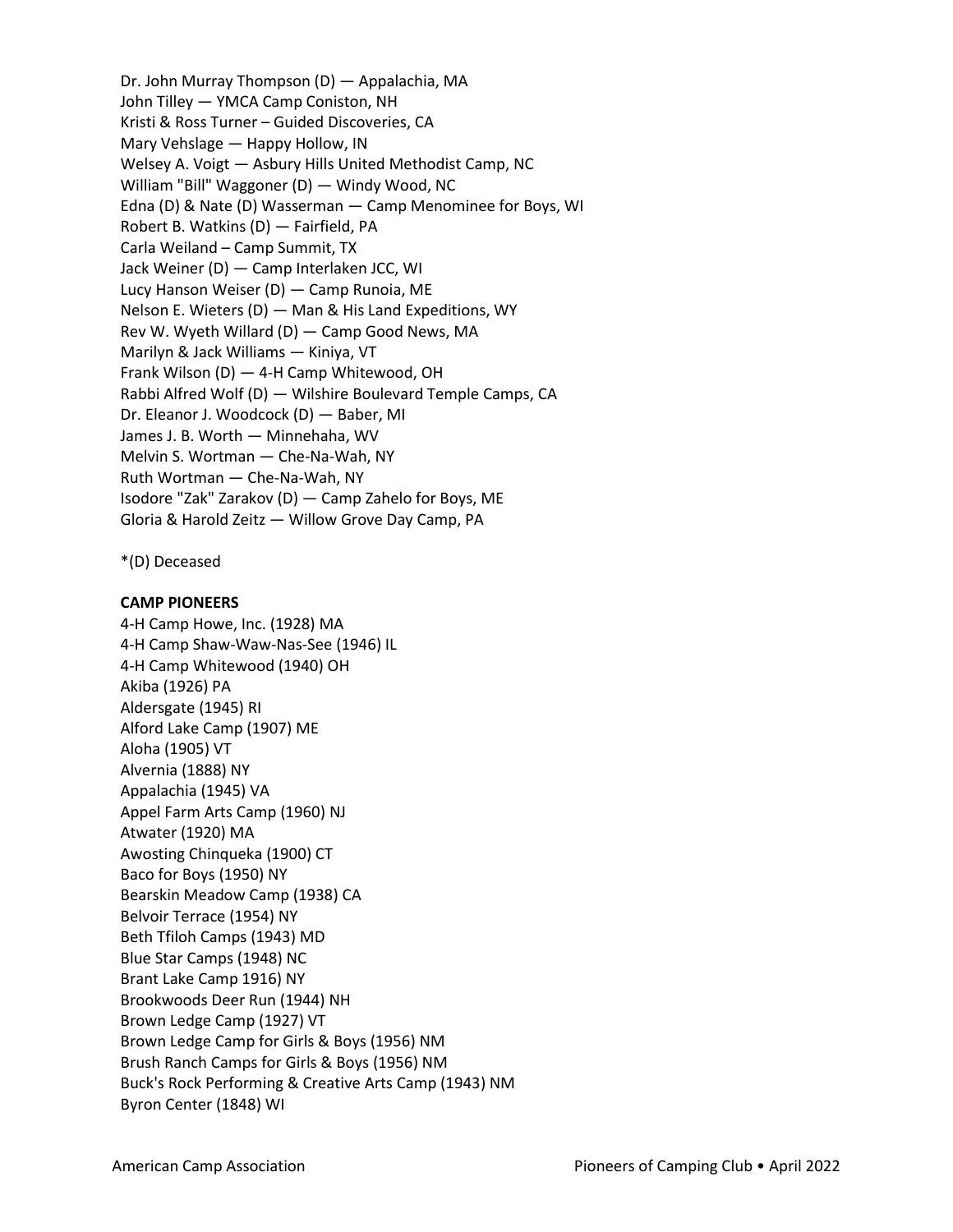Dr. John Murray Thompson (D) — Appalachia, MA John Tilley — YMCA Camp Coniston, NH Kristi & Ross Turner – Guided Discoveries, CA Mary Vehslage — Happy Hollow, IN Welsey A. Voigt — Asbury Hills United Methodist Camp, NC William "Bill" Waggoner (D) — Windy Wood, NC Edna (D) & Nate (D) Wasserman — Camp Menominee for Boys, WI Robert B. Watkins (D) — Fairfield, PA Carla Weiland – Camp Summit, TX Jack Weiner (D) — Camp Interlaken JCC, WI Lucy Hanson Weiser (D) — Camp Runoia, ME Nelson E. Wieters (D) — Man & His Land Expeditions, WY Rev W. Wyeth Willard (D) — Camp Good News, MA Marilyn & Jack Williams — Kiniya, VT Frank Wilson (D) — 4-H Camp Whitewood, OH Rabbi Alfred Wolf (D) — Wilshire Boulevard Temple Camps, CA Dr. Eleanor J. Woodcock (D) — Baber, MI James J. B. Worth — Minnehaha, WV Melvin S. Wortman — Che-Na-Wah, NY Ruth Wortman — Che-Na-Wah, NY Isodore "Zak" Zarakov (D) — Camp Zahelo for Boys, ME Gloria & Harold Zeitz — Willow Grove Day Camp, PA

\*(D) Deceased

## **CAMP PIONEERS**

4-H Camp Howe, Inc. (1928) MA 4-H Camp Shaw-Waw-Nas-See (1946) IL 4-H Camp Whitewood (1940) OH Akiba (1926) PA Aldersgate (1945) RI Alford Lake Camp (1907) ME Aloha (1905) VT Alvernia (1888) NY Appalachia (1945) VA Appel Farm Arts Camp (1960) NJ Atwater (1920) MA Awosting Chinqueka (1900) CT Baco for Boys (1950) NY Bearskin Meadow Camp (1938) CA Belvoir Terrace (1954) NY Beth Tfiloh Camps (1943) MD Blue Star Camps (1948) NC Brant Lake Camp 1916) NY Brookwoods Deer Run (1944) NH Brown Ledge Camp (1927) VT Brown Ledge Camp for Girls & Boys (1956) NM Brush Ranch Camps for Girls & Boys (1956) NM Buck's Rock Performing & Creative Arts Camp (1943) NM Byron Center (1848) WI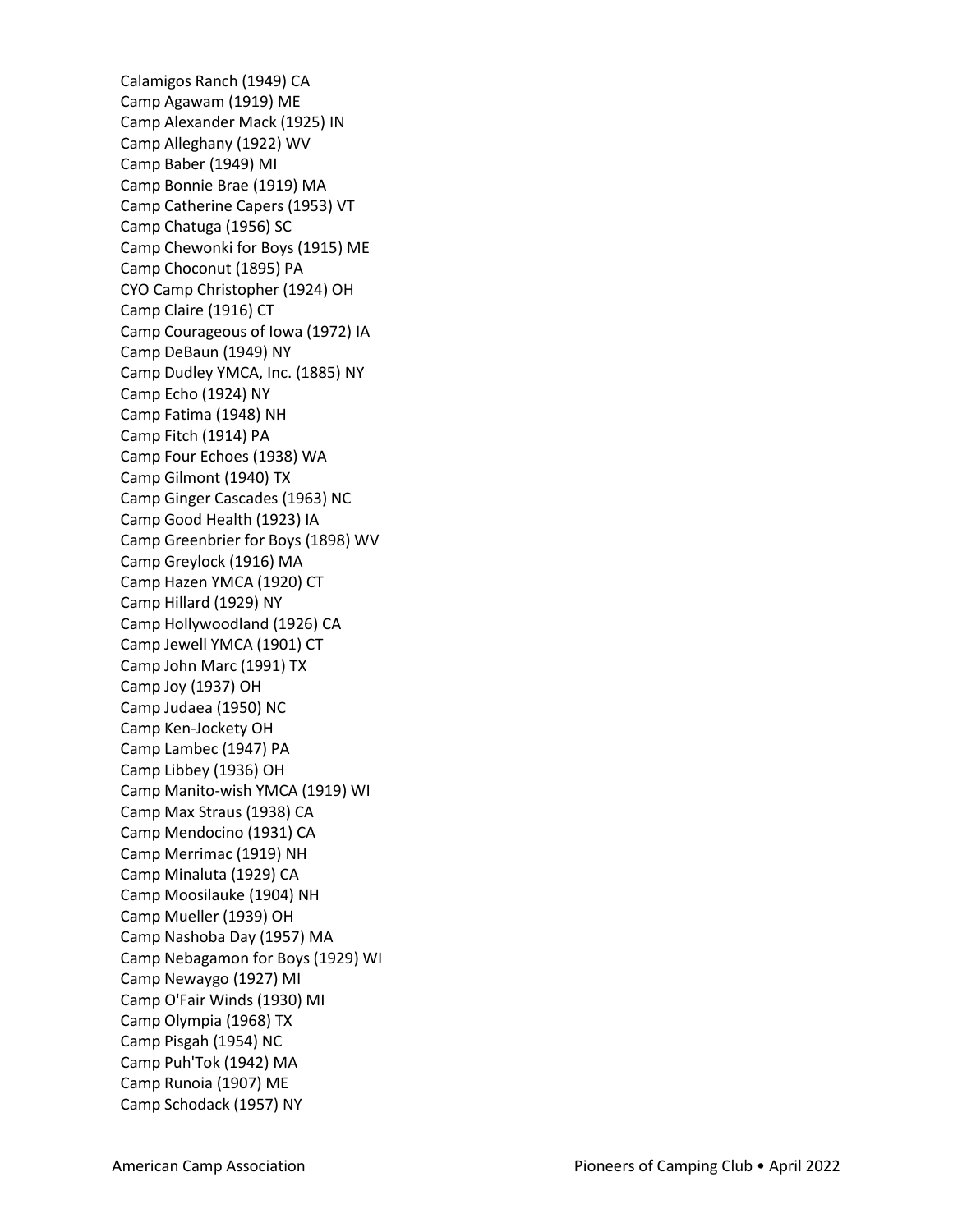Calamigos Ranch (1949) CA Camp Agawam (1919) ME Camp Alexander Mack (1925) IN Camp Alleghany (1922) WV Camp Baber (1949) MI Camp Bonnie Brae (1919) MA Camp Catherine Capers (1953) VT Camp Chatuga (1956) SC Camp Chewonki for Boys (1915) ME Camp Choconut (1895) PA CYO Camp Christopher (1924) OH Camp Claire (1916) CT Camp Courageous of Iowa (1972) IA Camp DeBaun (1949) NY Camp Dudley YMCA, Inc. (1885) NY Camp Echo (1924) NY Camp Fatima (1948) NH Camp Fitch (1914) PA Camp Four Echoes (1938) WA Camp Gilmont (1940) TX Camp Ginger Cascades (1963) NC Camp Good Health (1923) IA Camp Greenbrier for Boys (1898) WV Camp Greylock (1916) MA Camp Hazen YMCA (1920) CT Camp Hillard (1929) NY Camp Hollywoodland (1926) CA Camp Jewell YMCA (1901) CT Camp John Marc (1991) TX Camp Joy (1937) OH Camp Judaea (1950) NC Camp Ken-Jockety OH Camp Lambec (1947) PA Camp Libbey (1936) OH Camp Manito-wish YMCA (1919) WI Camp Max Straus (1938) CA Camp Mendocino (1931) CA Camp Merrimac (1919) NH Camp Minaluta (1929) CA Camp Moosilauke (1904) NH Camp Mueller (1939) OH Camp Nashoba Day (1957) MA Camp Nebagamon for Boys (1929) WI Camp Newaygo (1927) MI Camp O'Fair Winds (1930) MI Camp Olympia (1968) TX Camp Pisgah (1954) NC Camp Puh'Tok (1942) MA Camp Runoia (1907) ME Camp Schodack (1957) NY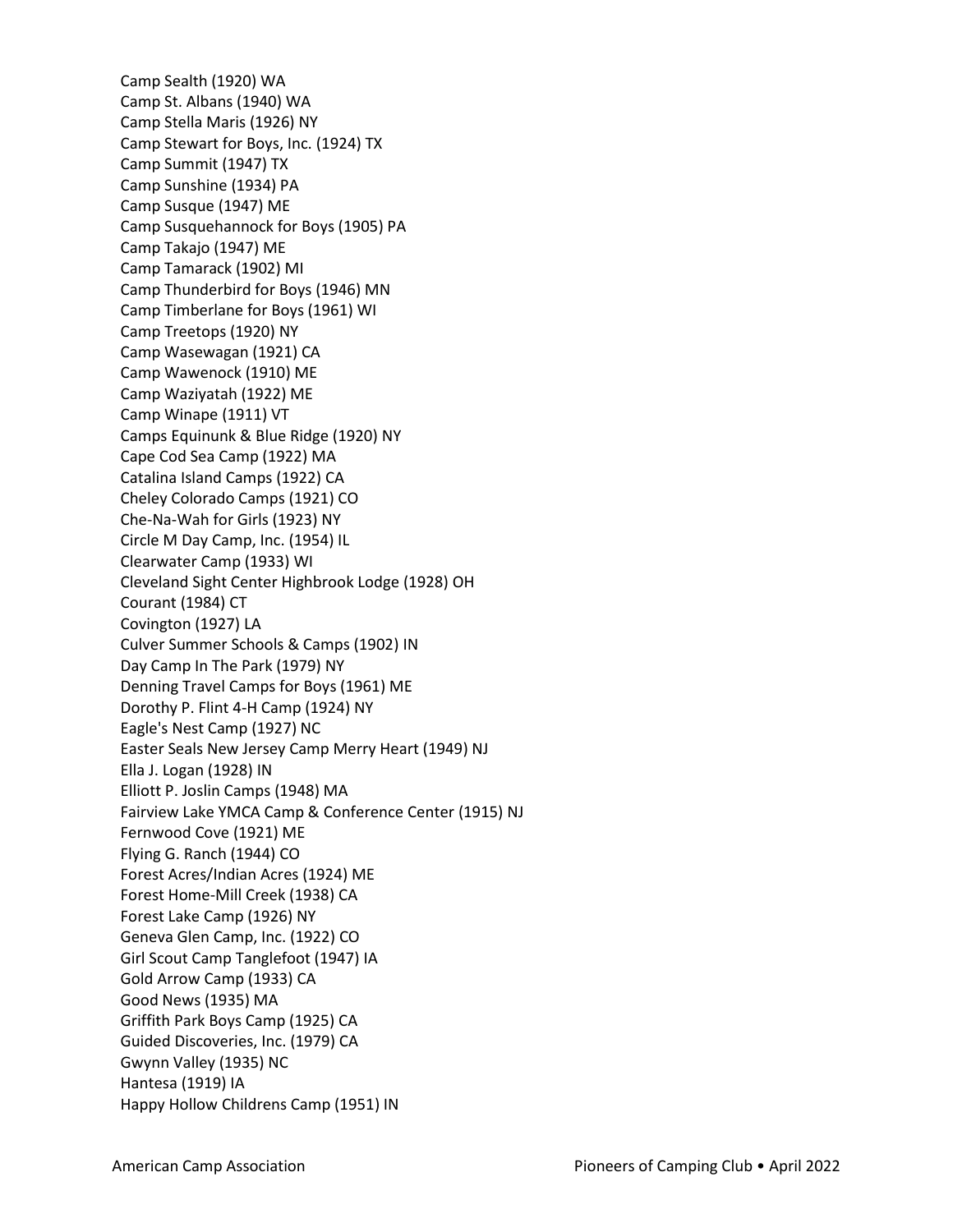Camp Sealth (1920) WA Camp St. Albans (1940) WA Camp Stella Maris (1926) NY Camp Stewart for Boys, Inc. (1924) TX Camp Summit (1947) TX Camp Sunshine (1934) PA Camp Susque (1947) ME Camp Susquehannock for Boys (1905) PA Camp Takajo (1947) ME Camp Tamarack (1902) MI Camp Thunderbird for Boys (1946) MN Camp Timberlane for Boys (1961) WI Camp Treetops (1920) NY Camp Wasewagan (1921) CA Camp Wawenock (1910) ME Camp Waziyatah (1922) ME Camp Winape (1911) VT Camps Equinunk & Blue Ridge (1920) NY Cape Cod Sea Camp (1922) MA Catalina Island Camps (1922) CA Cheley Colorado Camps (1921) CO Che-Na-Wah for Girls (1923) NY Circle M Day Camp, Inc. (1954) IL Clearwater Camp (1933) WI Cleveland Sight Center Highbrook Lodge (1928) OH Courant (1984) CT Covington (1927) LA Culver Summer Schools & Camps (1902) IN Day Camp In The Park (1979) NY Denning Travel Camps for Boys (1961) ME Dorothy P. Flint 4-H Camp (1924) NY Eagle's Nest Camp (1927) NC Easter Seals New Jersey Camp Merry Heart (1949) NJ Ella J. Logan (1928) IN Elliott P. Joslin Camps (1948) MA Fairview Lake YMCA Camp & Conference Center (1915) NJ Fernwood Cove (1921) ME Flying G. Ranch (1944) CO Forest Acres/Indian Acres (1924) ME Forest Home-Mill Creek (1938) CA Forest Lake Camp (1926) NY Geneva Glen Camp, Inc. (1922) CO Girl Scout Camp Tanglefoot (1947) IA Gold Arrow Camp (1933) CA Good News (1935) MA Griffith Park Boys Camp (1925) CA Guided Discoveries, Inc. (1979) CA Gwynn Valley (1935) NC Hantesa (1919) IA Happy Hollow Childrens Camp (1951) IN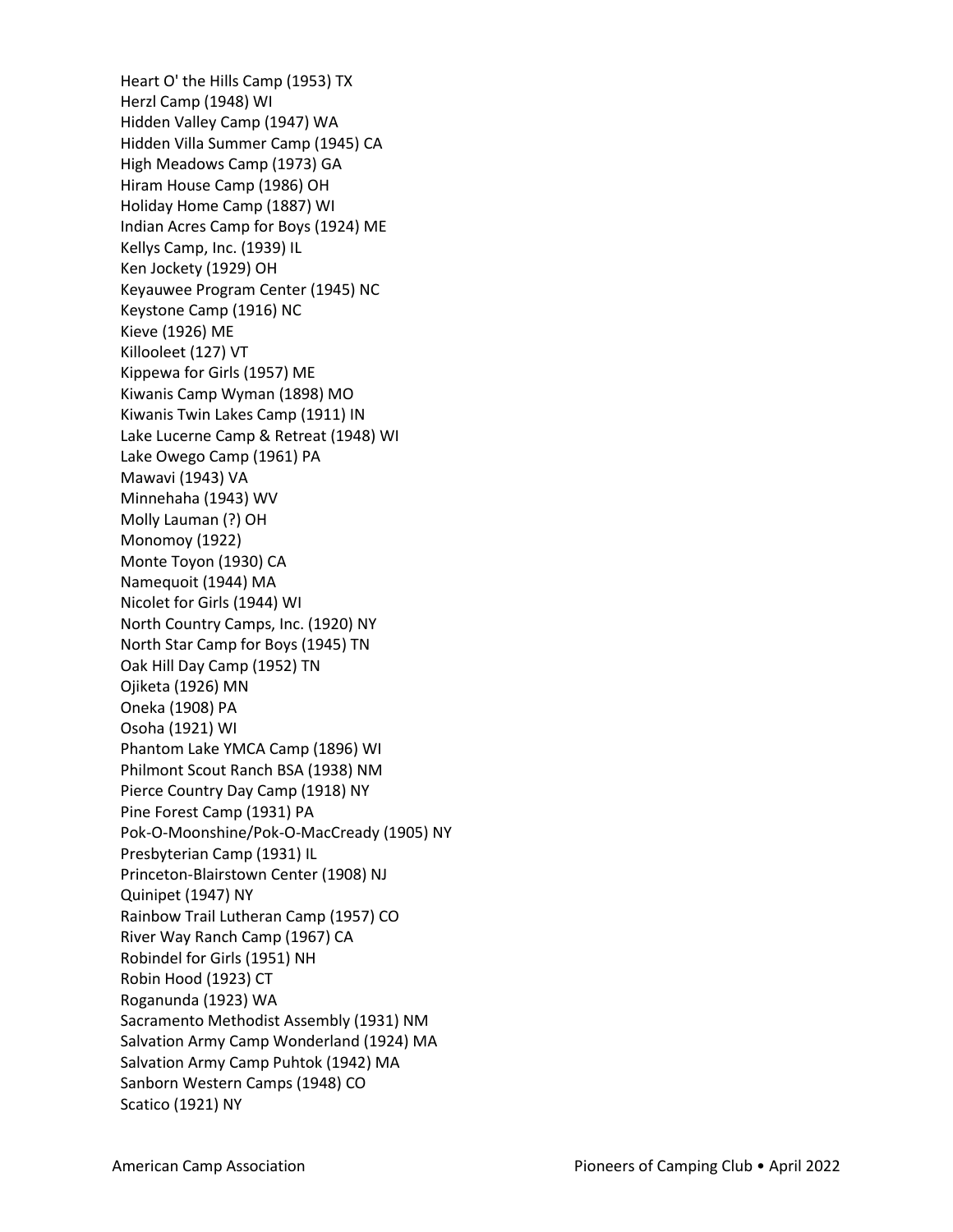Heart O' the Hills Camp (1953) TX Herzl Camp (1948) WI Hidden Valley Camp (1947) WA Hidden Villa Summer Camp (1945) CA High Meadows Camp (1973) GA Hiram House Camp (1986) OH Holiday Home Camp (1887) WI Indian Acres Camp for Boys (1924) ME Kellys Camp, Inc. (1939) IL Ken Jockety (1929) OH Keyauwee Program Center (1945) NC Keystone Camp (1916) NC Kieve (1926) ME Killooleet (127) VT Kippewa for Girls (1957) ME Kiwanis Camp Wyman (1898) MO Kiwanis Twin Lakes Camp (1911) IN Lake Lucerne Camp & Retreat (1948) WI Lake Owego Camp (1961) PA Mawavi (1943) VA Minnehaha (1943) WV Molly Lauman (?) OH Monomoy (1922) Monte Toyon (1930) CA Namequoit (1944) MA Nicolet for Girls (1944) WI North Country Camps, Inc. (1920) NY North Star Camp for Boys (1945) TN Oak Hill Day Camp (1952) TN Ojiketa (1926) MN Oneka (1908) PA Osoha (1921) WI Phantom Lake YMCA Camp (1896) WI Philmont Scout Ranch BSA (1938) NM Pierce Country Day Camp (1918) NY Pine Forest Camp (1931) PA Pok-O-Moonshine/Pok-O-MacCready (1905) NY Presbyterian Camp (1931) IL Princeton-Blairstown Center (1908) NJ Quinipet (1947) NY Rainbow Trail Lutheran Camp (1957) CO River Way Ranch Camp (1967) CA Robindel for Girls (1951) NH Robin Hood (1923) CT Roganunda (1923) WA Sacramento Methodist Assembly (1931) NM Salvation Army Camp Wonderland (1924) MA Salvation Army Camp Puhtok (1942) MA Sanborn Western Camps (1948) CO Scatico (1921) NY